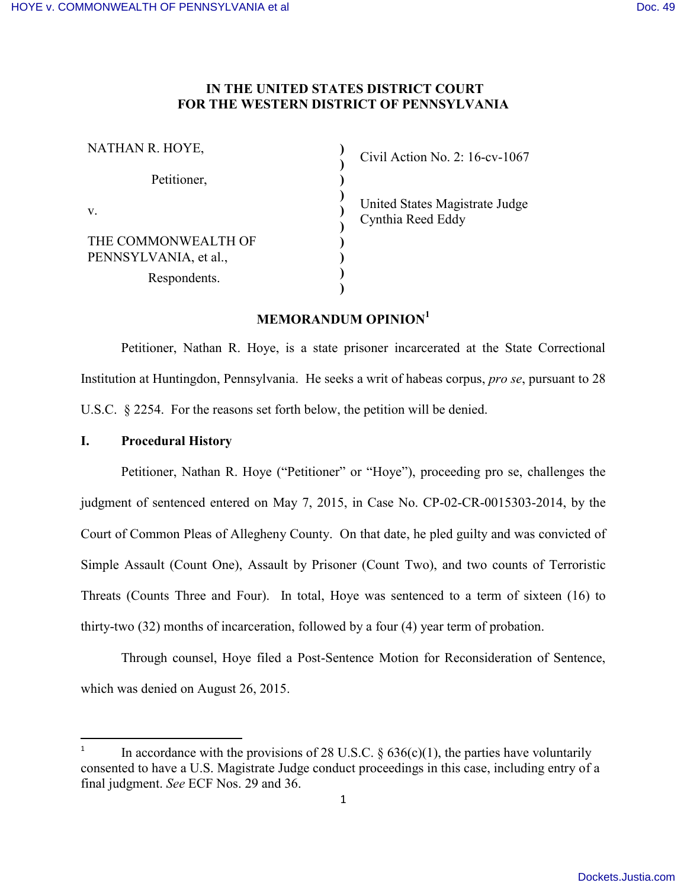# **IN THE UNITED STATES DISTRICT COURT FOR THE WESTERN DISTRICT OF PENNSYLVANIA**

**) ) ) ) ) ) ) ) ) )**

| NATHAN R. HOYE,                                              |  |
|--------------------------------------------------------------|--|
| Petitioner,                                                  |  |
| V.                                                           |  |
| THE COMMONWEALTH OF<br>PENNSYLVANIA, et al.,<br>Respondents. |  |
|                                                              |  |

Civil Action No. 2: 16-cv-1067

United States Magistrate Judge Cynthia Reed Eddy

# **MEMORANDUM OPINION<sup>1</sup>**

Petitioner, Nathan R. Hoye, is a state prisoner incarcerated at the State Correctional Institution at Huntingdon, Pennsylvania. He seeks a writ of habeas corpus, *pro se*, pursuant to 28 U.S.C. § 2254. For the reasons set forth below, the petition will be denied.

## **I. Procedural History**

l

Petitioner, Nathan R. Hoye ("Petitioner" or "Hoye"), proceeding pro se, challenges the judgment of sentenced entered on May 7, 2015, in Case No. CP-02-CR-0015303-2014, by the Court of Common Pleas of Allegheny County. On that date, he pled guilty and was convicted of Simple Assault (Count One), Assault by Prisoner (Count Two), and two counts of Terroristic Threats (Counts Three and Four). In total, Hoye was sentenced to a term of sixteen (16) to thirty-two (32) months of incarceration, followed by a four (4) year term of probation.

Through counsel, Hoye filed a Post-Sentence Motion for Reconsideration of Sentence, which was denied on August 26, 2015.

<sup>1</sup> In accordance with the provisions of 28 U.S.C.  $\S$  636(c)(1), the parties have voluntarily consented to have a U.S. Magistrate Judge conduct proceedings in this case, including entry of a final judgment. *See* ECF Nos. 29 and 36.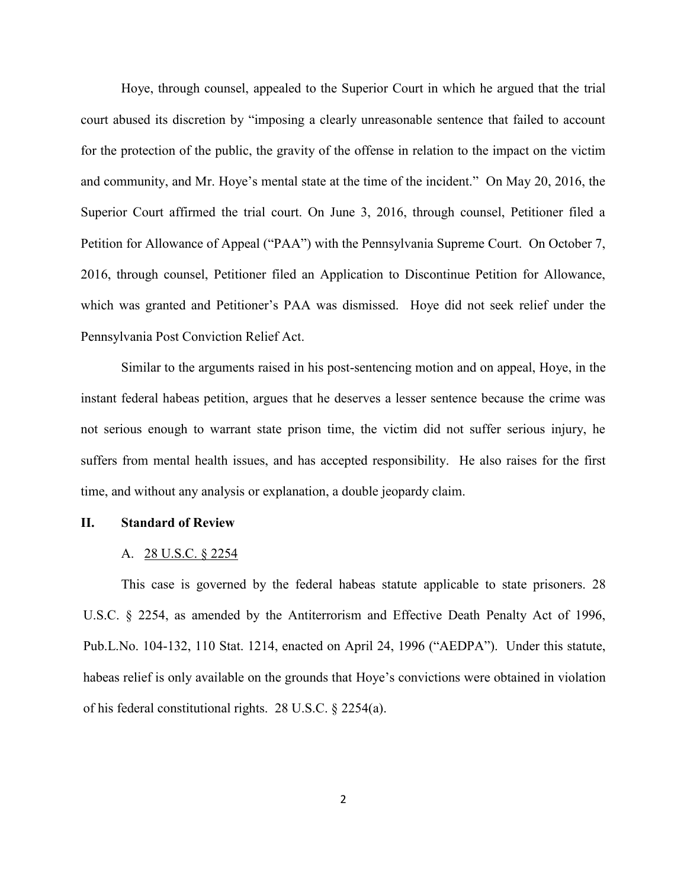Hoye, through counsel, appealed to the Superior Court in which he argued that the trial court abused its discretion by "imposing a clearly unreasonable sentence that failed to account for the protection of the public, the gravity of the offense in relation to the impact on the victim and community, and Mr. Hoye's mental state at the time of the incident." On May 20, 2016, the Superior Court affirmed the trial court. On June 3, 2016, through counsel, Petitioner filed a Petition for Allowance of Appeal ("PAA") with the Pennsylvania Supreme Court. On October 7, 2016, through counsel, Petitioner filed an Application to Discontinue Petition for Allowance, which was granted and Petitioner's PAA was dismissed. Hoye did not seek relief under the Pennsylvania Post Conviction Relief Act.

Similar to the arguments raised in his post-sentencing motion and on appeal, Hoye, in the instant federal habeas petition, argues that he deserves a lesser sentence because the crime was not serious enough to warrant state prison time, the victim did not suffer serious injury, he suffers from mental health issues, and has accepted responsibility. He also raises for the first time, and without any analysis or explanation, a double jeopardy claim.

#### **II. Standard of Review**

#### A. 28 U.S.C. § 2254

This case is governed by the federal habeas statute applicable to state prisoners. 28 U.S.C. § 2254, as amended by the Antiterrorism and Effective Death Penalty Act of 1996, Pub.L.No. 104-132, 110 Stat. 1214, enacted on April 24, 1996 ("AEDPA"). Under this statute, habeas relief is only available on the grounds that Hoye's convictions were obtained in violation of his federal constitutional rights. 28 U.S.C. § 2254(a).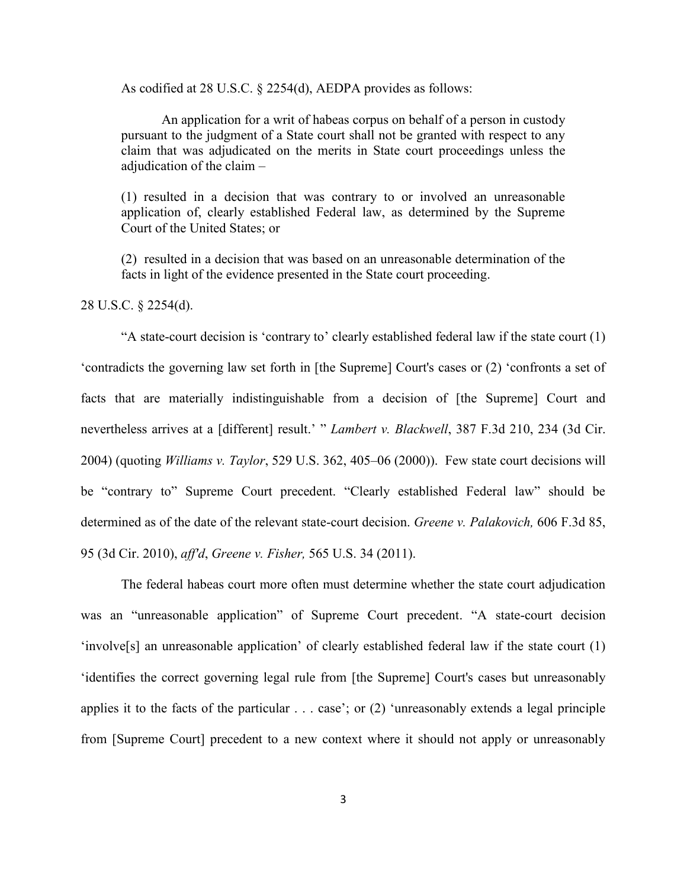As codified at 28 U.S.C. § 2254(d), AEDPA provides as follows:

An application for a writ of habeas corpus on behalf of a person in custody pursuant to the judgment of a State court shall not be granted with respect to any claim that was adjudicated on the merits in State court proceedings unless the adjudication of the claim –

(1) resulted in a decision that was contrary to or involved an unreasonable application of, clearly established Federal law, as determined by the Supreme Court of the United States; or

(2) resulted in a decision that was based on an unreasonable determination of the facts in light of the evidence presented in the State court proceeding.

28 U.S.C. § 2254(d).

"A state-court decision is 'contrary to' clearly established federal law if the state court (1) 'contradicts the governing law set forth in [the Supreme] Court's cases or (2) 'confronts a set of facts that are materially indistinguishable from a decision of [the Supreme] Court and nevertheless arrives at a [different] result.' " *Lambert v. Blackwell*, 387 F.3d 210, 234 (3d Cir. 2004) (quoting *Williams v. Taylor*, 529 U.S. 362, 405–06 (2000)). Few state court decisions will be "contrary to" Supreme Court precedent. "Clearly established Federal law" should be determined as of the date of the relevant state-court decision. *Greene v. Palakovich,* 606 F.3d 85, 95 (3d Cir. 2010), *aff'd*, *Greene v. Fisher,* 565 U.S. 34 (2011).

The federal habeas court more often must determine whether the state court adjudication was an "unreasonable application" of Supreme Court precedent. "A state-court decision 'involve[s] an unreasonable application' of clearly established federal law if the state court (1) 'identifies the correct governing legal rule from [the Supreme] Court's cases but unreasonably applies it to the facts of the particular . . . case'; or (2) 'unreasonably extends a legal principle from [Supreme Court] precedent to a new context where it should not apply or unreasonably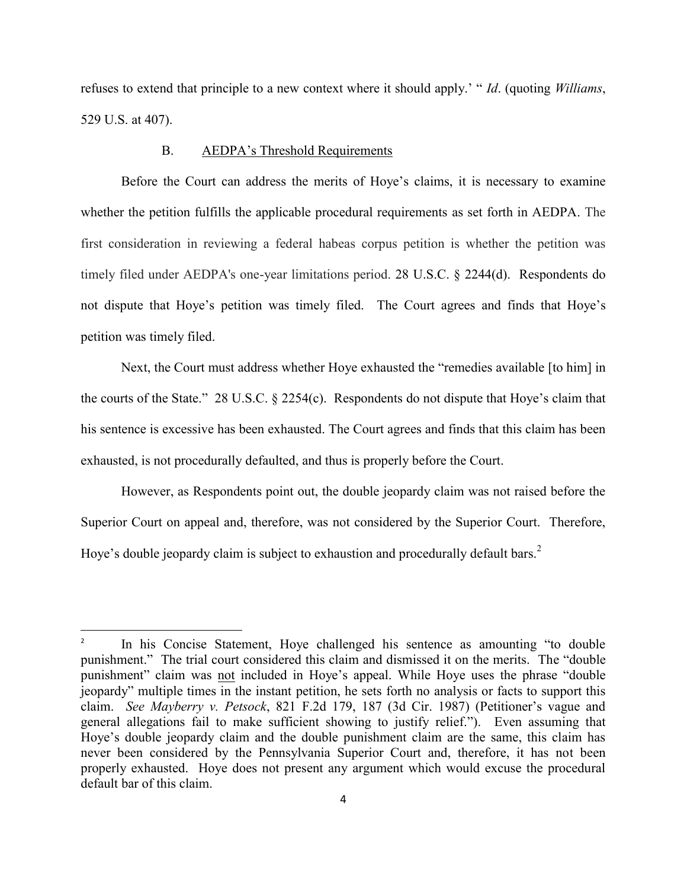refuses to extend that principle to a new context where it should apply.' " *Id*. (quoting *Williams*, 529 U.S. at 407).

### B. AEDPA's Threshold Requirements

Before the Court can address the merits of Hoye's claims, it is necessary to examine whether the petition fulfills the applicable procedural requirements as set forth in AEDPA. The first consideration in reviewing a federal habeas corpus petition is whether the petition was timely filed under AEDPA's one-year limitations period. 28 U.S.C. § 2244(d). Respondents do not dispute that Hoye's petition was timely filed. The Court agrees and finds that Hoye's petition was timely filed.

Next, the Court must address whether Hoye exhausted the "remedies available [to him] in the courts of the State." 28 U.S.C. § 2254(c). Respondents do not dispute that Hoye's claim that his sentence is excessive has been exhausted. The Court agrees and finds that this claim has been exhausted, is not procedurally defaulted, and thus is properly before the Court.

However, as Respondents point out, the double jeopardy claim was not raised before the Superior Court on appeal and, therefore, was not considered by the Superior Court. Therefore, Hoye's double jeopardy claim is subject to exhaustion and procedurally default bars.<sup>2</sup>

 $\overline{a}$ 

<sup>2</sup> In his Concise Statement, Hoye challenged his sentence as amounting "to double punishment." The trial court considered this claim and dismissed it on the merits. The "double punishment" claim was not included in Hoye's appeal. While Hoye uses the phrase "double jeopardy" multiple times in the instant petition, he sets forth no analysis or facts to support this claim. *See Mayberry v. Petsock*, 821 F.2d 179, 187 (3d Cir. 1987) (Petitioner's vague and general allegations fail to make sufficient showing to justify relief."). Even assuming that Hoye's double jeopardy claim and the double punishment claim are the same, this claim has never been considered by the Pennsylvania Superior Court and, therefore, it has not been properly exhausted. Hoye does not present any argument which would excuse the procedural default bar of this claim.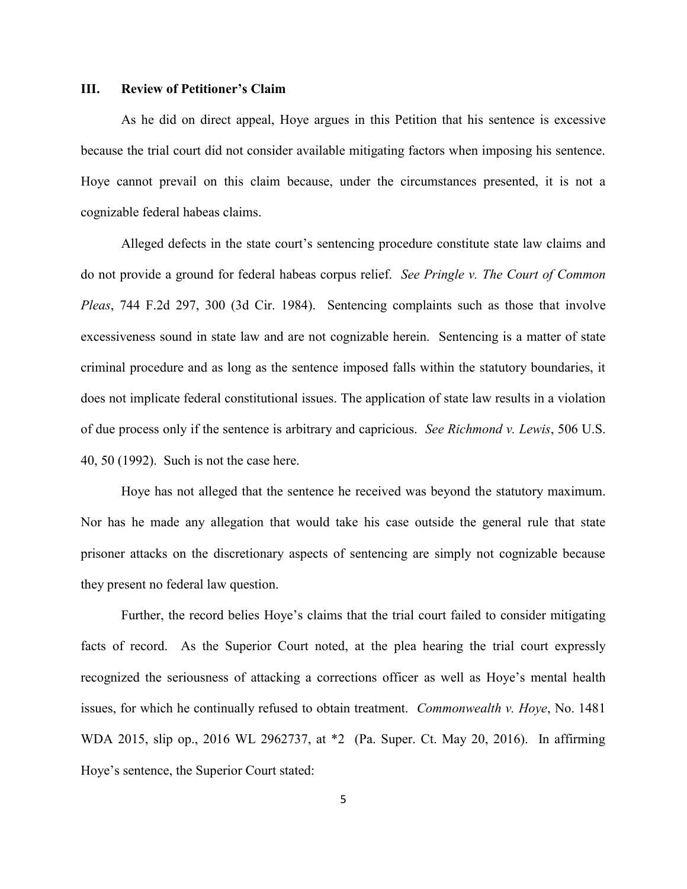### **III. Review of Petitioner's Claim**

As he did on direct appeal, Hoye argues in this Petition that his sentence is excessive because the trial court did not consider available mitigating factors when imposing his sentence. Hoye cannot prevail on this claim because, under the circumstances presented, it is not a cognizable federal habeas claims.

Alleged defects in the state court's sentencing procedure constitute state law claims and do not provide a ground for federal habeas corpus relief. *See Pringle v. The Court of Common Pleas*, 744 F.2d 297, 300 (3d Cir. 1984). Sentencing complaints such as those that involve excessiveness sound in state law and are not cognizable herein. Sentencing is a matter of state criminal procedure and as long as the sentence imposed falls within the statutory boundaries, it does not implicate federal constitutional issues. The application of state law results in a violation of due process only if the sentence is arbitrary and capricious. *See Richmond v. Lewis*, 506 U.S. 40, 50 (1992). Such is not the case here.

Hoye has not alleged that the sentence he received was beyond the statutory maximum. Nor has he made any allegation that would take his case outside the general rule that state prisoner attacks on the discretionary aspects of sentencing are simply not cognizable because they present no federal law question.

Further, the record belies Hoye's claims that the trial court failed to consider mitigating facts of record. As the Superior Court noted, at the plea hearing the trial court expressly recognized the seriousness of attacking a corrections officer as well as Hoye's mental health issues, for which he continually refused to obtain treatment. *Commonwealth v. Hoye*, No. 1481 WDA 2015, slip op., 2016 WL 2962737, at \*2 (Pa. Super. Ct. May 20, 2016). In affirming Hoye's sentence, the Superior Court stated: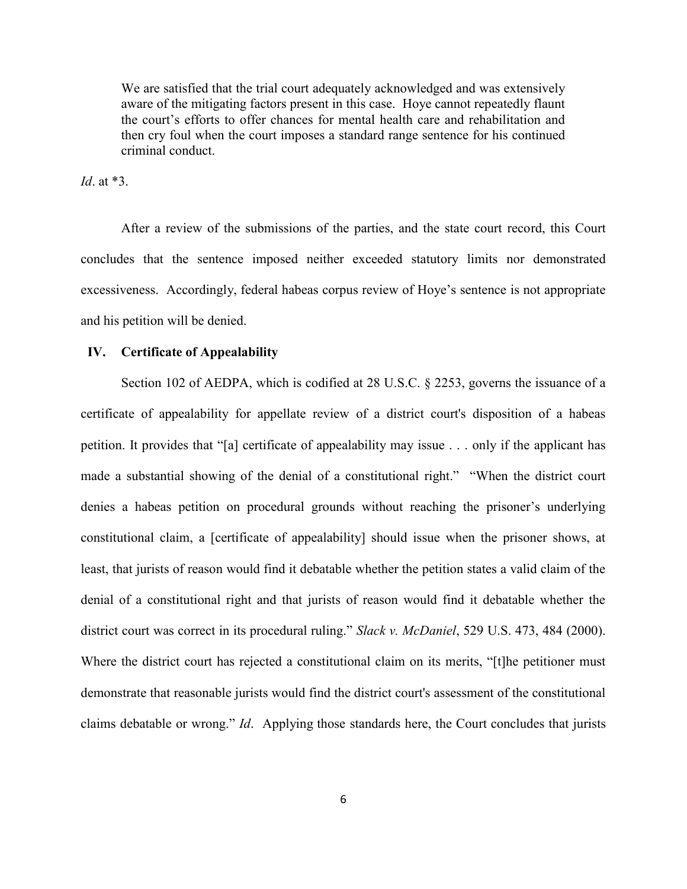We are satisfied that the trial court adequately acknowledged and was extensively aware of the mitigating factors present in this case. Hoye cannot repeatedly flaunt the court's efforts to offer chances for mental health care and rehabilitation and then cry foul when the court imposes a standard range sentence for his continued criminal conduct.

*Id*. at \*3.

After a review of the submissions of the parties, and the state court record, this Court concludes that the sentence imposed neither exceeded statutory limits nor demonstrated excessiveness. Accordingly, federal habeas corpus review of Hoye's sentence is not appropriate and his petition will be denied.

### **IV. Certificate of Appealability**

Section 102 of AEDPA, which is codified at 28 U.S.C. § 2253, governs the issuance of a certificate of appealability for appellate review of a district court's disposition of a habeas petition. It provides that "[a] certificate of appealability may issue . . . only if the applicant has made a substantial showing of the denial of a constitutional right." "When the district court denies a habeas petition on procedural grounds without reaching the prisoner's underlying constitutional claim, a [certificate of appealability] should issue when the prisoner shows, at least, that jurists of reason would find it debatable whether the petition states a valid claim of the denial of a constitutional right and that jurists of reason would find it debatable whether the district court was correct in its procedural ruling." *Slack v. McDaniel*, 529 U.S. 473, 484 (2000). Where the district court has rejected a constitutional claim on its merits, "[t]he petitioner must demonstrate that reasonable jurists would find the district court's assessment of the constitutional claims debatable or wrong." *Id*. Applying those standards here, the Court concludes that jurists